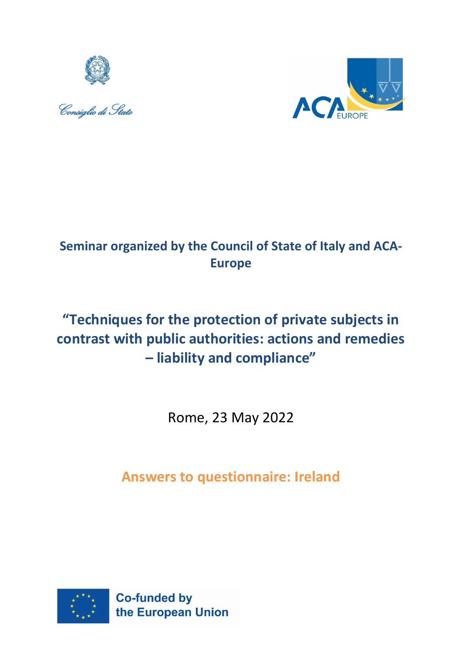





# **Seminar organized by the Council of State of Italy and ACA-Europe**

# **"Techniques for the protection of private subjects in contrast with public authorities: actions and remedies – liability and compliance"**

Rome, 23 May 2022

**Answers to questionnaire: Ireland**

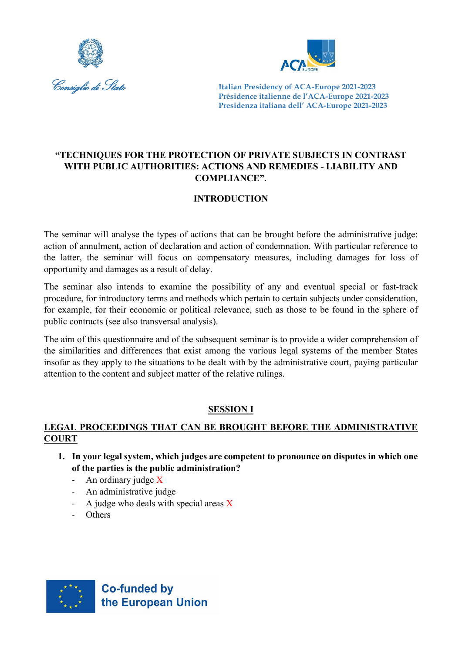



# **"TECHNIQUES FOR THE PROTECTION OF PRIVATE SUBJECTS IN CONTRAST WITH PUBLIC AUTHORITIES: ACTIONS AND REMEDIES - LIABILITY AND COMPLIANCE".**

# **INTRODUCTION**

The seminar will analyse the types of actions that can be brought before the administrative judge: action of annulment, action of declaration and action of condemnation. With particular reference to the latter, the seminar will focus on compensatory measures, including damages for loss of opportunity and damages as a result of delay.

The seminar also intends to examine the possibility of any and eventual special or fast-track procedure, for introductory terms and methods which pertain to certain subjects under consideration, for example, for their economic or political relevance, such as those to be found in the sphere of public contracts (see also transversal analysis).

The aim of this questionnaire and of the subsequent seminar is to provide a wider comprehension of the similarities and differences that exist among the various legal systems of the member States insofar as they apply to the situations to be dealt with by the administrative court, paying particular attention to the content and subject matter of the relative rulings.

# **SESSION I**

# **LEGAL PROCEEDINGS THAT CAN BE BROUGHT BEFORE THE ADMINISTRATIVE COURT**

- **1. In your legal system, which judges are competent to pronounce on disputes in which one of the parties is the public administration?**
	- An ordinary judge X
	- An administrative judge
	- A judge who deals with special areas  $X$
	- Others

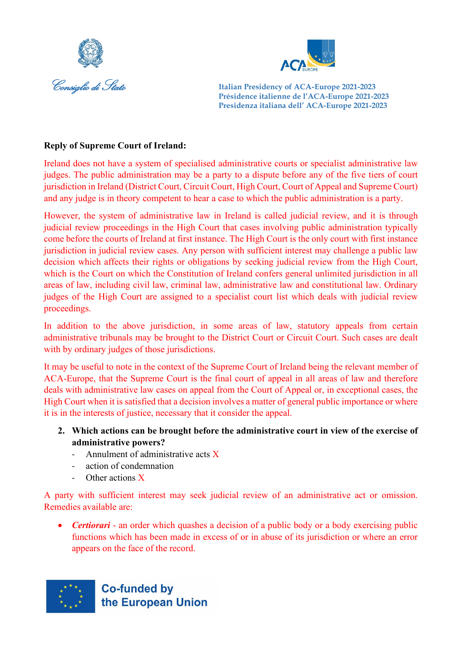



#### **Reply of Supreme Court of Ireland:**

Ireland does not have a system of specialised administrative courts or specialist administrative law judges. The public administration may be a party to a dispute before any of the five tiers of court jurisdiction in Ireland (District Court, Circuit Court, High Court, Court of Appeal and Supreme Court) and any judge is in theory competent to hear a case to which the public administration is a party.

However, the system of administrative law in Ireland is called judicial review, and it is through judicial review proceedings in the High Court that cases involving public administration typically come before the courts of Ireland at first instance. The High Court is the only court with first instance jurisdiction in judicial review cases. Any person with sufficient interest may challenge a public law decision which affects their rights or obligations by seeking judicial review from the High Court, which is the Court on which the Constitution of Ireland confers general unlimited jurisdiction in all areas of law, including civil law, criminal law, administrative law and constitutional law. Ordinary judges of the High Court are assigned to a specialist court list which deals with judicial review proceedings.

In addition to the above jurisdiction, in some areas of law, statutory appeals from certain administrative tribunals may be brought to the District Court or Circuit Court. Such cases are dealt with by ordinary judges of those jurisdictions.

It may be useful to note in the context of the Supreme Court of Ireland being the relevant member of ACA-Europe, that the Supreme Court is the final court of appeal in all areas of law and therefore deals with administrative law cases on appeal from the Court of Appeal or, in exceptional cases, the High Court when it is satisfied that a decision involves a matter of general public importance or where it is in the interests of justice, necessary that it consider the appeal.

- **2. Which actions can be brought before the administrative court in view of the exercise of administrative powers?**
	- Annulment of administrative acts X
	- action of condemnation
	- Other actions X

A party with sufficient interest may seek judicial review of an administrative act or omission. Remedies available are:

• *Certiorari* - an order which quashes a decision of a public body or a body exercising public functions which has been made in excess of or in abuse of its jurisdiction or where an error appears on the face of the record.

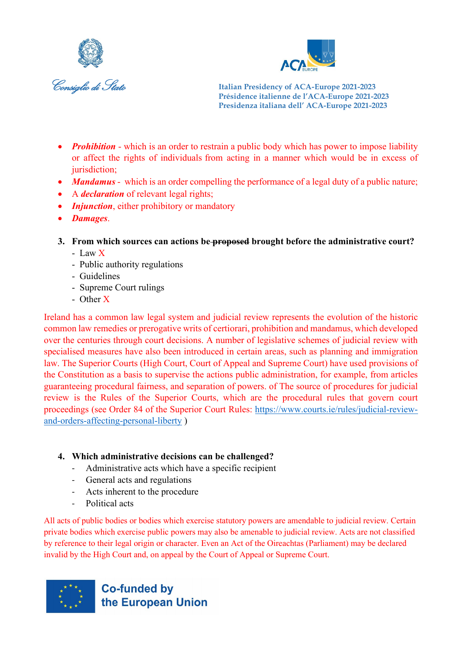



- *Prohibition* which is an order to restrain a public body which has power to impose liability or affect the rights of individuals from acting in a manner which would be in excess of jurisdiction;
- *Mandamus* which is an order compelling the performance of a legal duty of a public nature;
- A *declaration* of relevant legal rights;
- *Injunction*, either prohibitory or mandatory
- *Damages*.
- **3. From which sources can actions be proposed brought before the administrative court?** 
	- Law X
	- Public authority regulations
	- Guidelines
	- Supreme Court rulings
	- Other X

Ireland has a common law legal system and judicial review represents the evolution of the historic common law remedies or prerogative writs of certiorari, prohibition and mandamus, which developed over the centuries through court decisions. A number of legislative schemes of judicial review with specialised measures have also been introduced in certain areas, such as planning and immigration law. The Superior Courts (High Court, Court of Appeal and Supreme Court) have used provisions of the Constitution as a basis to supervise the actions public administration, for example, from articles guaranteeing procedural fairness, and separation of powers. of The source of procedures for judicial review is the Rules of the Superior Courts, which are the procedural rules that govern court proceedings (see Order 84 of the Superior Court Rules: [https://www.courts.ie/rules/judicial-review](https://www.courts.ie/rules/judicial-review-and-orders-affecting-personal-liberty)[and-orders-affecting-personal-liberty](https://www.courts.ie/rules/judicial-review-and-orders-affecting-personal-liberty) )

#### **4. Which administrative decisions can be challenged?**

- Administrative acts which have a specific recipient
- General acts and regulations
- Acts inherent to the procedure
- Political acts

All acts of public bodies or bodies which exercise statutory powers are amendable to judicial review. Certain private bodies which exercise public powers may also be amenable to judicial review. Acts are not classified by reference to their legal origin or character. Even an Act of the Oireachtas (Parliament) may be declared invalid by the High Court and, on appeal by the Court of Appeal or Supreme Court.

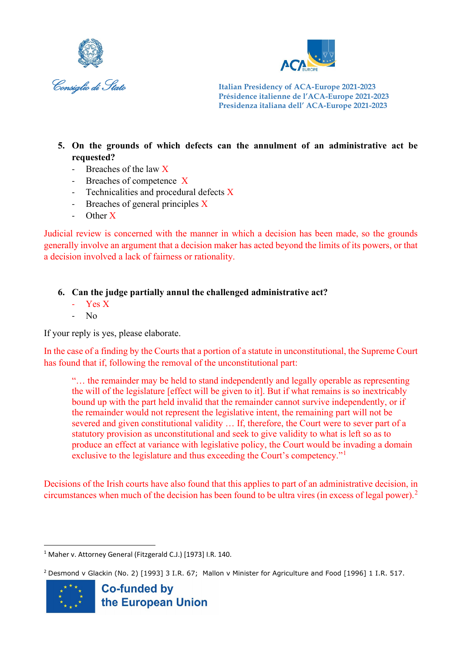



- **5. On the grounds of which defects can the annulment of an administrative act be requested?**
	- Breaches of the law X
	- Breaches of competence X
	- Technicalities and procedural defects X
	- Breaches of general principles X
	- Other X

Judicial review is concerned with the manner in which a decision has been made, so the grounds generally involve an argument that a decision maker has acted beyond the limits of its powers, or that a decision involved a lack of fairness or rationality.

**6. Can the judge partially annul the challenged administrative act?** 

- Yes X
- No

If your reply is yes, please elaborate.

In the case of a finding by the Courts that a portion of a statute in unconstitutional, the Supreme Court has found that if, following the removal of the unconstitutional part:

"… the remainder may be held to stand independently and legally operable as representing the will of the legislature [effect will be given to it]. But if what remains is so inextricably bound up with the part held invalid that the remainder cannot survive independently, or if the remainder would not represent the legislative intent, the remaining part will not be severed and given constitutional validity … If, therefore, the Court were to sever part of a statutory provision as unconstitutional and seek to give validity to what is left so as to produce an effect at variance with legislative policy, the Court would be invading a domain exclusive to the legislature and thus exceeding the Court's competency."

Decisions of the Irish courts have also found that this applies to part of an administrative decision, in circumstances when much of the decision has been found to be ultra vires (in excess of legal power).[2](#page-4-1)

<span id="page-4-1"></span><sup>&</sup>lt;sup>2</sup> Desmond v Glackin (No. 2) [1993] 3 I.R. 67; Mallon v Minister for Agriculture and Food [1996] 1 I.R. 517.



<span id="page-4-0"></span><sup>1</sup> Maher v. Attorney General (Fitzgerald C.J.) [1973] I.R. 140.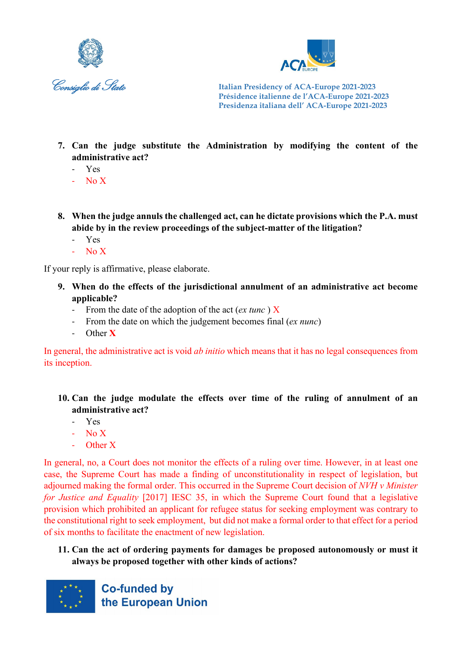



- **7. Can the judge substitute the Administration by modifying the content of the administrative act?**
	- Yes
	- $-$  No X
- **8. When the judge annuls the challenged act, can he dictate provisions which the P.A. must abide by in the review proceedings of the subject-matter of the litigation?**
	- Yes
	- No X

If your reply is affirmative, please elaborate.

- **9. When do the effects of the jurisdictional annulment of an administrative act become applicable?**
	- From the date of the adoption of the act (*ex tunc* ) X
	- From the date on which the judgement becomes final (*ex nunc*)
	- Other **X**

In general, the administrative act is void *ab initio* which means that it has no legal consequences from its inception.

# **10. Can the judge modulate the effects over time of the ruling of annulment of an administrative act?**

- Yes
- $-$  No X
- Other X

In general, no, a Court does not monitor the effects of a ruling over time. However, in at least one case, the Supreme Court has made a finding of unconstitutionality in respect of legislation, but adjourned making the formal order. This occurred in the Supreme Court decision of *NVH v Minister for Justice and Equality* [2017] IESC 35, in which the Supreme Court found that a legislative provision which prohibited an applicant for refugee status for seeking employment was contrary to the constitutional right to seek employment, but did not make a formal order to that effect for a period of six months to facilitate the enactment of new legislation.

# **11. Can the act of ordering payments for damages be proposed autonomously or must it always be proposed together with other kinds of actions?**

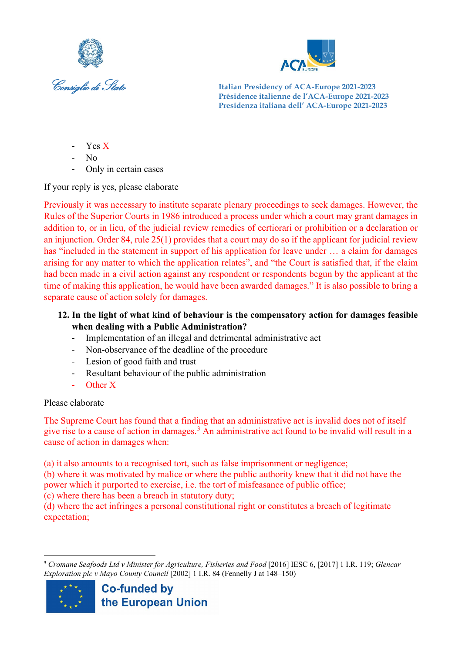



- Yes X
- $N<sub>0</sub>$
- Only in certain cases

If your reply is yes, please elaborate

Previously it was necessary to institute separate plenary proceedings to seek damages. However, the Rules of the Superior Courts in 1986 introduced a process under which a court may grant damages in addition to, or in lieu, of the judicial review remedies of certiorari or prohibition or a declaration or an injunction. Order 84, rule 25(1) provides that a court may do so if the applicant for judicial review has "included in the statement in support of his application for leave under ... a claim for damages arising for any matter to which the application relates", and "the Court is satisfied that, if the claim had been made in a civil action against any respondent or respondents begun by the applicant at the time of making this application, he would have been awarded damages." It is also possible to bring a separate cause of action solely for damages.

# **12. In the light of what kind of behaviour is the compensatory action for damages feasible when dealing with a Public Administration?**

- Implementation of an illegal and detrimental administrative act
- Non-observance of the deadline of the procedure
- Lesion of good faith and trust
- Resultant behaviour of the public administration
- Other X

# Please elaborate

The Supreme Court has found that a finding that an administrative act is invalid does not of itself give rise to a cause of action in damages.<sup>[3](#page-6-0)</sup> An administrative act found to be invalid will result in a cause of action in damages when:

(a) it also amounts to a recognised tort, such as false imprisonment or negligence;

(b) where it was motivated by malice or where the public authority knew that it did not have the power which it purported to exercise, i.e. the tort of misfeasance of public office;

(c) where there has been a breach in statutory duty;

(d) where the act infringes a personal constitutional right or constitutes a breach of legitimate expectation;

<span id="page-6-0"></span><sup>3</sup> *Cromane Seafoods Ltd v Minister for Agriculture, Fisheries and Food* [2016] IESC 6, [2017] 1 I.R. 119; *Glencar Exploration plc v Mayo County Council* [2002] 1 I.R. 84 (Fennelly J at 148–150)

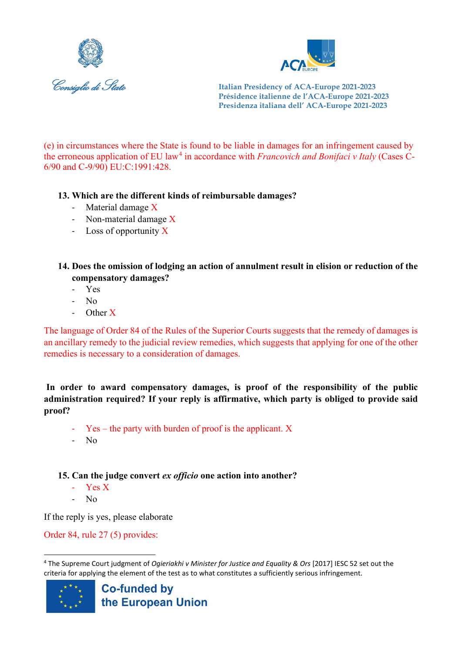



(e) in circumstances where the State is found to be liable in damages for an infringement caused by the erroneous application of EU law<sup>[4](#page-7-0)</sup> in accordance with *Francovich and Bonifaci v Italy* (Cases C-6/90 and C-9/90) EU:C:1991:428.

#### **13. Which are the different kinds of reimbursable damages?**

- Material damage X
- Non-material damage X
- Loss of opportunity X
- **14. Does the omission of lodging an action of annulment result in elision or reduction of the compensatory damages?** 
	- Yes
	- N<sub>o</sub>
	- Other X

The language of Order 84 of the Rules of the Superior Courts suggests that the remedy of damages is an ancillary remedy to the judicial review remedies, which suggests that applying for one of the other remedies is necessary to a consideration of damages.

**In order to award compensatory damages, is proof of the responsibility of the public administration required? If your reply is affirmative, which party is obliged to provide said proof?** 

- $Yes the party with burden of proof is the application. X$
- $N<sub>0</sub>$

# **15. Can the judge convert** *ex officio* **one action into another?**

- Yes X
- No

If the reply is yes, please elaborate

Order 84, rule 27 (5) provides:

<span id="page-7-0"></span><sup>4</sup> The Supreme Court judgment of *Ogieriakhi v Minister for Justice and Equality & Ors* [2017] IESC 52 set out the criteria for applying the element of the test as to what constitutes a sufficiently serious infringement.

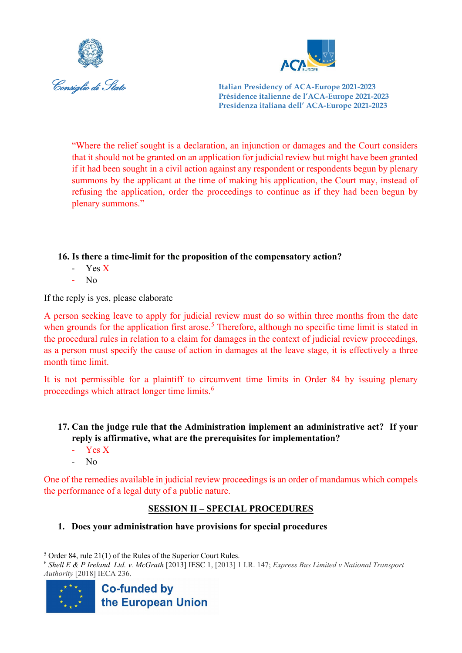



"Where the relief sought is a declaration, an injunction or damages and the Court considers that it should not be granted on an application for judicial review but might have been granted if it had been sought in a civil action against any respondent or respondents begun by plenary summons by the applicant at the time of making his application, the Court may, instead of refusing the application, order the proceedings to continue as if they had been begun by plenary summons."

#### **16. Is there a time-limit for the proposition of the compensatory action?**

- Yes X
- N<sub>0</sub>

If the reply is yes, please elaborate

A person seeking leave to apply for judicial review must do so within three months from the date when grounds for the application first arose.<sup>[5](#page-8-0)</sup> Therefore, although no specific time limit is stated in the procedural rules in relation to a claim for damages in the context of judicial review proceedings, as a person must specify the cause of action in damages at the leave stage, it is effectively a three month time limit.

It is not permissible for a plaintiff to circumvent time limits in Order 84 by issuing plenary proceedings which attract longer time limits.<sup>[6](#page-8-1)</sup>

# **17. Can the judge rule that the Administration implement an administrative act? If your reply is affirmative, what are the prerequisites for implementation?**

- Yes X
- No

One of the remedies available in judicial review proceedings is an order of mandamus which compels the performance of a legal duty of a public nature.

# **SESSION II – SPECIAL PROCEDURES**

**1. Does your administration have provisions for special procedures**

<span id="page-8-1"></span><sup>6</sup> *Shell E & P Ireland Ltd. v. McGrath* [2013] IESC 1, [2013] 1 I.R. 147; *Express Bus Limited v National Transport Authority* [2018] IECA 236.



<span id="page-8-0"></span><sup>5</sup> Order 84, rule 21(1) of the Rules of the Superior Court Rules.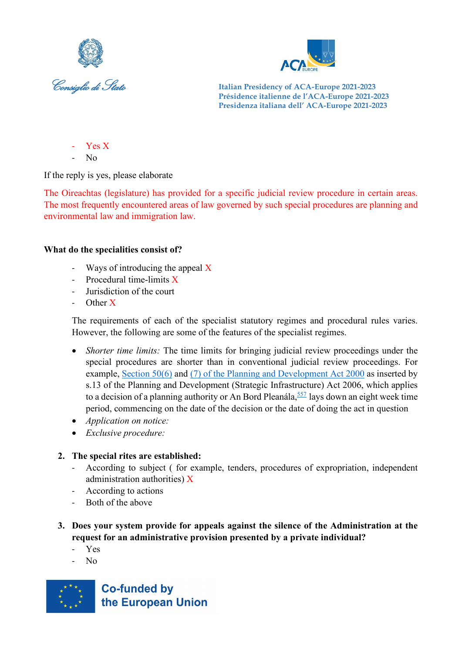



- Yes X
- $N<sub>0</sub>$

If the reply is yes, please elaborate

The Oireachtas (legislature) has provided for a specific judicial review procedure in certain areas. The most frequently encountered areas of law governed by such special procedures are planning and environmental law and immigration law.

#### **What do the specialities consist of?**

- Ways of introducing the appeal  $\overline{X}$
- Procedural time-limits X
- Jurisdiction of the court
- Other X

The requirements of each of the specialist statutory regimes and procedural rules varies. However, the following are some of the features of the specialist regimes.

- *Shorter time limits:* The time limits for bringing judicial review proceedings under the special procedures are shorter than in conventional judicial review proceedings. For example, [Section 50\(6\)](https://login.westlaw.ie/maf/wlie/app/document?src=doc&linktype=ref&&context=23&crumb-action=replace&docguid=I0BD74A9C9CB64353BBF2CE912B130485) and [\(7\) of the Planning and Development Act 2000](https://login.westlaw.ie/maf/wlie/app/document?src=doc&linktype=ref&&context=23&crumb-action=replace&docguid=I0BD74A9C9CB64353BBF2CE912B130485) as inserted by s.13 of the Planning and Development (Strategic Infrastructure) Act 2006, which applies to a decision of a planning authority or An Bord Pleanála,  $\frac{557}{1}$  $\frac{557}{1}$  $\frac{557}{1}$  lays down an eight week time period, commencing on the date of the decision or the date of doing the act in question
- *Application on notice:*
- *Exclusive procedure:*

# **2. The special rites are established:**

- According to subject ( for example, tenders, procedures of expropriation, independent administration authorities) X
- According to actions
- Both of the above
- **3. Does your system provide for appeals against the silence of the Administration at the request for an administrative provision presented by a private individual?**
	- Yes
	- No

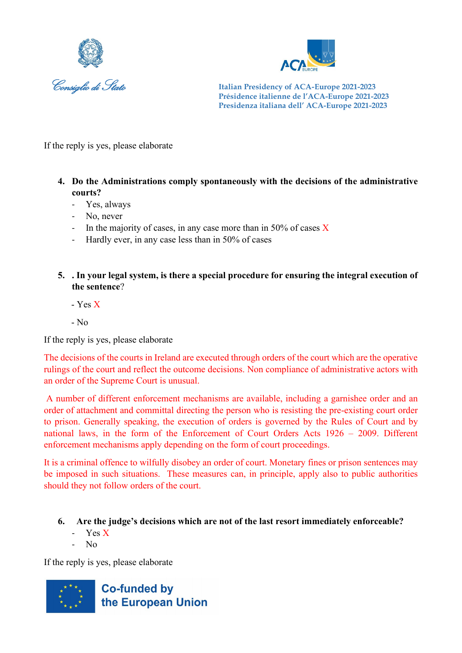



If the reply is yes, please elaborate

- **4. Do the Administrations comply spontaneously with the decisions of the administrative courts?**
	- Yes, always
	- No, never
	- In the majority of cases, in any case more than in 50% of cases  $X$
	- Hardly ever, in any case less than in 50% of cases
- **5. . In your legal system, is there a special procedure for ensuring the integral execution of the sentence**?
	- Yes X
	- $-$  No

If the reply is yes, please elaborate

The decisions of the courts in Ireland are executed through orders of the court which are the operative rulings of the court and reflect the outcome decisions. Non compliance of administrative actors with an order of the Supreme Court is unusual.

A number of different enforcement mechanisms are available, including a garnishee order and an order of attachment and committal directing the person who is resisting the pre-existing court order to prison. Generally speaking, the execution of orders is governed by the Rules of Court and by national laws, in the form of the Enforcement of Court Orders Acts 1926 – 2009. Different enforcement mechanisms apply depending on the form of court proceedings.

It is a criminal offence to wilfully disobey an order of court. Monetary fines or prison sentences may be imposed in such situations. These measures can, in principle, apply also to public authorities should they not follow orders of the court.

- **6. Are the judge's decisions which are not of the last resort immediately enforceable?**
	- Yes X
	- N<sub>o</sub>

If the reply is yes, please elaborate

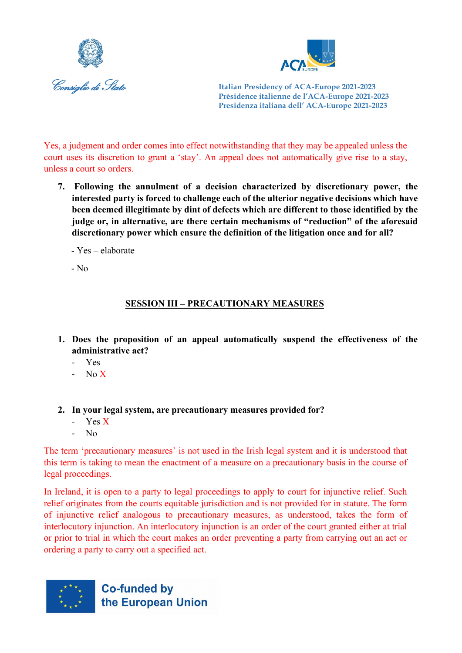



Yes, a judgment and order comes into effect notwithstanding that they may be appealed unless the court uses its discretion to grant a 'stay'. An appeal does not automatically give rise to a stay, unless a court so orders.

- **7. Following the annulment of a decision characterized by discretionary power, the interested party is forced to challenge each of the ulterior negative decisions which have been deemed illegitimate by dint of defects which are different to those identified by the judge or, in alternative, are there certain mechanisms of "reduction" of the aforesaid discretionary power which ensure the definition of the litigation once and for all?**
	- Yes elaborate

- No

# **SESSION III – PRECAUTIONARY MEASURES**

- **1. Does the proposition of an appeal automatically suspend the effectiveness of the administrative act?** 
	- Yes
	- No X
- **2. In your legal system, are precautionary measures provided for?** 
	- Yes X
	- No

The term 'precautionary measures' is not used in the Irish legal system and it is understood that this term is taking to mean the enactment of a measure on a precautionary basis in the course of legal proceedings.

In Ireland, it is open to a party to legal proceedings to apply to court for injunctive relief. Such relief originates from the courts equitable jurisdiction and is not provided for in statute. The form of injunctive relief analogous to precautionary measures, as understood, takes the form of interlocutory injunction. An interlocutory injunction is an order of the court granted either at trial or prior to trial in which the court makes an order preventing a party from carrying out an act or ordering a party to carry out a specified act.

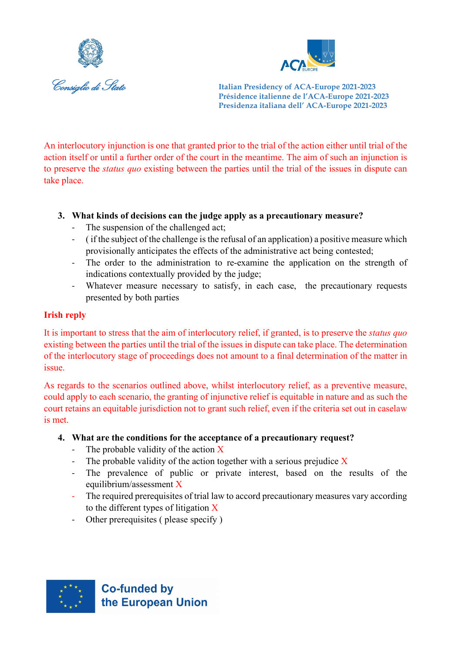



An interlocutory injunction is one that granted prior to the trial of the action either until trial of the action itself or until a further order of the court in the meantime. The aim of such an injunction is to preserve the *status quo* existing between the parties until the trial of the issues in dispute can take place.

# **3. What kinds of decisions can the judge apply as a precautionary measure?**

- The suspension of the challenged act;
- ( if the subject of the challenge is the refusal of an application) a positive measure which provisionally anticipates the effects of the administrative act being contested;
- The order to the administration to re-examine the application on the strength of indications contextually provided by the judge;
- Whatever measure necessary to satisfy, in each case, the precautionary requests presented by both parties

#### **Irish reply**

It is important to stress that the aim of interlocutory relief, if granted, is to preserve the *status quo* existing between the parties until the trial of the issues in dispute can take place. The determination of the interlocutory stage of proceedings does not amount to a final determination of the matter in issue.

As regards to the scenarios outlined above, whilst interlocutory relief, as a preventive measure, could apply to each scenario, the granting of injunctive relief is equitable in nature and as such the court retains an equitable jurisdiction not to grant such relief, even if the criteria set out in caselaw is met.

#### **4. What are the conditions for the acceptance of a precautionary request?**

- The probable validity of the action X
- The probable validity of the action together with a serious prejudice  $X$
- The prevalence of public or private interest, based on the results of the equilibrium/assessment X
- The required prerequisites of trial law to accord precautionary measures vary according to the different types of litigation  $\bar{X}$
- Other prerequisites ( please specify )

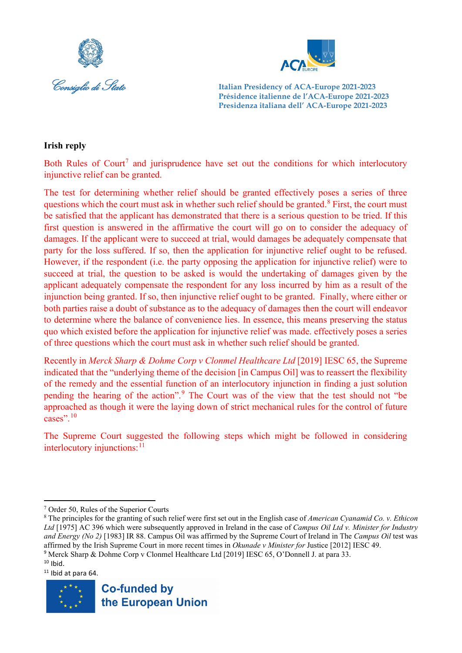



#### **Irish reply**

Both Rules of Court<sup>[7](#page-13-0)</sup> and jurisprudence have set out the conditions for which interlocutory injunctive relief can be granted.

The test for determining whether relief should be granted effectively poses a series of three questions which the court must ask in whether such relief should be granted.<sup>[8](#page-13-1)</sup> First, the court must be satisfied that the applicant has demonstrated that there is a serious question to be tried. If this first question is answered in the affirmative the court will go on to consider the adequacy of damages. If the applicant were to succeed at trial, would damages be adequately compensate that party for the loss suffered. If so, then the application for injunctive relief ought to be refused. However, if the respondent (i.e. the party opposing the application for injunctive relief) were to succeed at trial, the question to be asked is would the undertaking of damages given by the applicant adequately compensate the respondent for any loss incurred by him as a result of the injunction being granted. If so, then injunctive relief ought to be granted. Finally, where either or both parties raise a doubt of substance as to the adequacy of damages then the court will endeavor to determine where the balance of convenience lies. In essence, this means preserving the status quo which existed before the application for injunctive relief was made. effectively poses a series of three questions which the court must ask in whether such relief should be granted.

Recently in *Merck Sharp & Dohme Corp v Clonmel Healthcare Ltd* [2019] IESC 65, the Supreme indicated that the "underlying theme of the decision [in Campus Oil] was to reassert the flexibility of the remedy and the essential function of an interlocutory injunction in finding a just solution pending the hearing of the action".[9](#page-13-2) The Court was of the view that the test should not "be approached as though it were the laying down of strict mechanical rules for the control of future cases".<sup>[10](#page-13-3)</sup>

The Supreme Court suggested the following steps which might be followed in considering interlocutory injunctions: $11$ 

<span id="page-13-4"></span><span id="page-13-3"></span><span id="page-13-2"></span> $11$  Ibid at para 64.



<span id="page-13-0"></span><sup>7</sup> Order 50, Rules of the Superior Courts

<span id="page-13-1"></span><sup>8</sup> The principles for the granting of such relief were first set out in the English case of *American Cyanamid Co. v. Ethicon Ltd* [1975] AC 396 which were subsequently approved in Ireland in the case of *Campus Oil Ltd v. Minister for Industry and Energy (No 2)* [1983] IR 88. Campus Oil was affirmed by the Supreme Court of Ireland in The *Campus Oil* test was affirmed by the Irish Supreme Court in more recent times in *Okunade v Minister for* Justice [2012] IESC 49. <sup>9</sup> Merck Sharp & Dohme Corp v Clonmel Healthcare Ltd [2019] IESC 65, O'Donnell J. at para 33.  $10$  Ibid.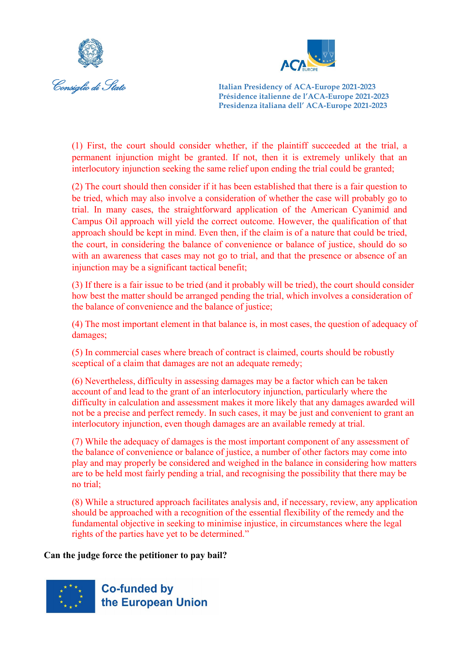



(1) First, the court should consider whether, if the plaintiff succeeded at the trial, a permanent injunction might be granted. If not, then it is extremely unlikely that an interlocutory injunction seeking the same relief upon ending the trial could be granted;

(2) The court should then consider if it has been established that there is a fair question to be tried, which may also involve a consideration of whether the case will probably go to trial. In many cases, the straightforward application of the American Cyanimid and [Campus Oil](https://app.justis.com/case/campus-oil/overview/c4Gdm1yZn5Wca) approach will yield the correct outcome. However, the qualification of that approach should be kept in mind. Even then, if the claim is of a nature that could be tried, the court, in considering the balance of convenience or balance of justice, should do so with an awareness that cases may not go to trial, and that the presence or absence of an injunction may be a significant tactical benefit;

(3) If there is a fair issue to be tried (and it probably will be tried), the court should consider how best the matter should be arranged pending the trial, which involves a consideration of the balance of convenience and the balance of justice;

(4) The most important element in that balance is, in most cases, the question of adequacy of damages;

(5) In commercial cases where breach of contract is claimed, courts should be robustly sceptical of a claim that damages are not an adequate remedy;

(6) Nevertheless, difficulty in assessing damages may be a factor which can be taken account of and lead to the grant of an interlocutory injunction, particularly where the difficulty in calculation and assessment makes it more likely that any damages awarded will not be a precise and perfect remedy. In such cases, it may be just and convenient to grant an interlocutory injunction, even though damages are an available remedy at trial.

(7) While the adequacy of damages is the most important component of any assessment of the balance of convenience or balance of justice, a number of other factors may come into play and may properly be considered and weighed in the balance in considering how matters are to be held most fairly pending a trial, and recognising the possibility that there may be no trial;

(8) While a structured approach facilitates analysis and, if necessary, review, any application should be approached with a recognition of the essential flexibility of the remedy and the fundamental objective in seeking to minimise injustice, in circumstances where the legal rights of the parties have yet to be determined."

**Can the judge force the petitioner to pay bail?**

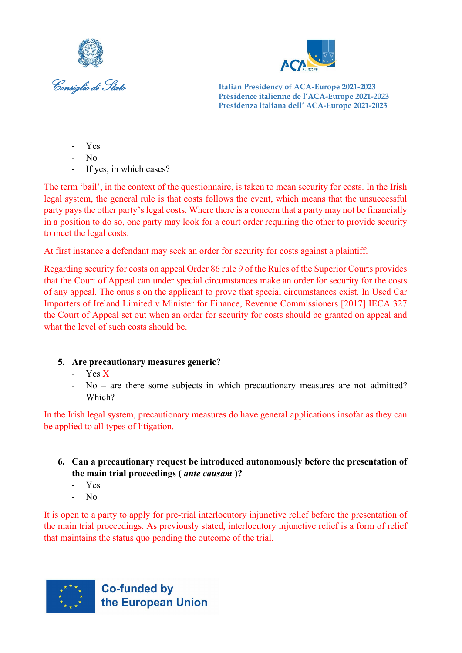



- Yes
- $N<sub>0</sub>$
- If yes, in which cases?

The term 'bail', in the context of the questionnaire, is taken to mean security for costs. In the Irish legal system, the general rule is that costs follows the event, which means that the unsuccessful party pays the other party's legal costs. Where there is a concern that a party may not be financially in a position to do so, one party may look for a court order requiring the other to provide security to meet the legal costs.

At first instance a defendant may seek an order for security for costs against a plaintiff.

Regarding security for costs on appeal Order 86 rule 9 of the Rules of the Superior Courts provides that the Court of Appeal can under special circumstances make an order for security for the costs of any appeal. The onus s on the applicant to prove that special circumstances exist. In Used Car Importers of Ireland Limited v Minister for Finance, Revenue Commissioners [2017] IECA 327 the Court of Appeal set out when an order for security for costs should be granted on appeal and what the level of such costs should be.

# **5. Are precautionary measures generic?**

- Yes X
- $No are there some subjects in which precautionary measures are not admitted?$ Which?

In the Irish legal system, precautionary measures do have general applications insofar as they can be applied to all types of litigation.

- **6. Can a precautionary request be introduced autonomously before the presentation of the main trial proceedings (** *ante causam* **)?**
	- Yes
	- No

It is open to a party to apply for pre-trial interlocutory injunctive relief before the presentation of the main trial proceedings. As previously stated, interlocutory injunctive relief is a form of relief that maintains the status quo pending the outcome of the trial.

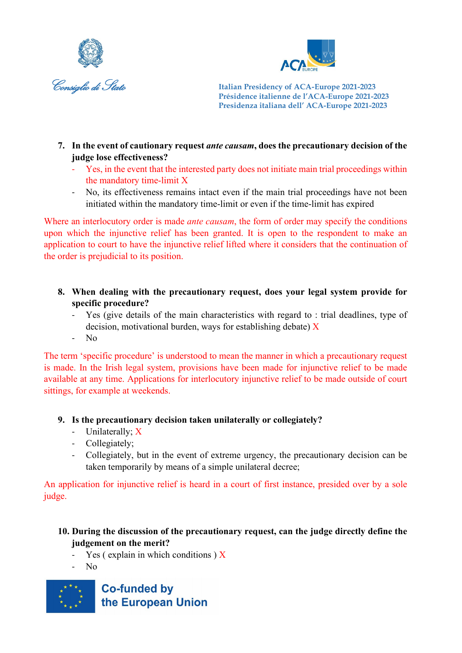



- **7. In the event of cautionary request** *ante causam***, does the precautionary decision of the judge lose effectiveness?**
	- Yes, in the event that the interested party does not initiate main trial proceedings within the mandatory time-limit X
	- No, its effectiveness remains intact even if the main trial proceedings have not been initiated within the mandatory time-limit or even if the time-limit has expired

Where an interlocutory order is made *ante causam*, the form of order may specify the conditions upon which the injunctive relief has been granted. It is open to the respondent to make an application to court to have the injunctive relief lifted where it considers that the continuation of the order is prejudicial to its position.

- **8. When dealing with the precautionary request, does your legal system provide for specific procedure?** 
	- Yes (give details of the main characteristics with regard to : trial deadlines, type of decision, motivational burden, ways for establishing debate)  $\bar{X}$
	- No

The term 'specific procedure' is understood to mean the manner in which a precautionary request is made. In the Irish legal system, provisions have been made for injunctive relief to be made available at any time. Applications for interlocutory injunctive relief to be made outside of court sittings, for example at weekends.

# **9. Is the precautionary decision taken unilaterally or collegiately?**

- Unilaterally; X
- Collegiately;
- Collegiately, but in the event of extreme urgency, the precautionary decision can be taken temporarily by means of a simple unilateral decree;

An application for injunctive relief is heard in a court of first instance, presided over by a sole judge.

# **10. During the discussion of the precautionary request, can the judge directly define the judgement on the merit?**

- Yes ( explain in which conditions )  $\overline{X}$
- $N<sub>0</sub>$

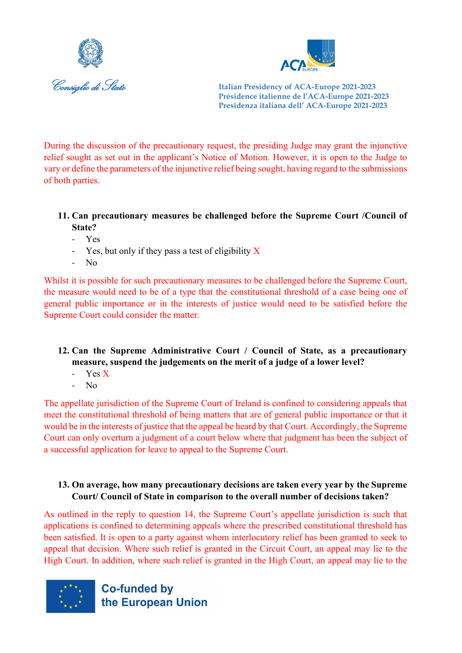



During the discussion of the precautionary request, the presiding Judge may grant the injunctive relief sought as set out in the applicant's Notice of Motion. However, it is open to the Judge to vary or define the parameters of the injunctive relief being sought, having regard to the submissions of both parties.

#### **11. Can precautionary measures be challenged before the Supreme Court /Council of State?**

- Yes
- Yes, but only if they pass a test of eligibility  $\bar{X}$
- No

Whilst it is possible for such precautionary measures to be challenged before the Supreme Court, the measure would need to be of a type that the constitutional threshold of a case being one of general public importance or in the interests of justice would need to be satisfied before the Supreme Court could consider the matter.

# **12. Can the Supreme Administrative Court / Council of State, as a precautionary measure, suspend the judgements on the merit of a judge of a lower level?**

- Yes X
- $N<sub>0</sub>$

The appellate jurisdiction of the Supreme Court of Ireland is confined to considering appeals that meet the constitutional threshold of being matters that are of general public importance or that it would be in the interests of justice that the appeal be heard by that Court. Accordingly, the Supreme Court can only overturn a judgment of a court below where that judgment has been the subject of a successful application for leave to appeal to the Supreme Court.

# **13. On average, how many precautionary decisions are taken every year by the Supreme Court/ Council of State in comparison to the overall number of decisions taken?**

As outlined in the reply to question 14, the Supreme Court's appellate jurisdiction is such that applications is confined to determining appeals where the prescribed constitutional threshold has been satisfied. It is open to a party against whom interlocutory relief has been granted to seek to appeal that decision. Where such relief is granted in the Circuit Court, an appeal may lie to the High Court. In addition, where such relief is granted in the High Court, an appeal may lie to the